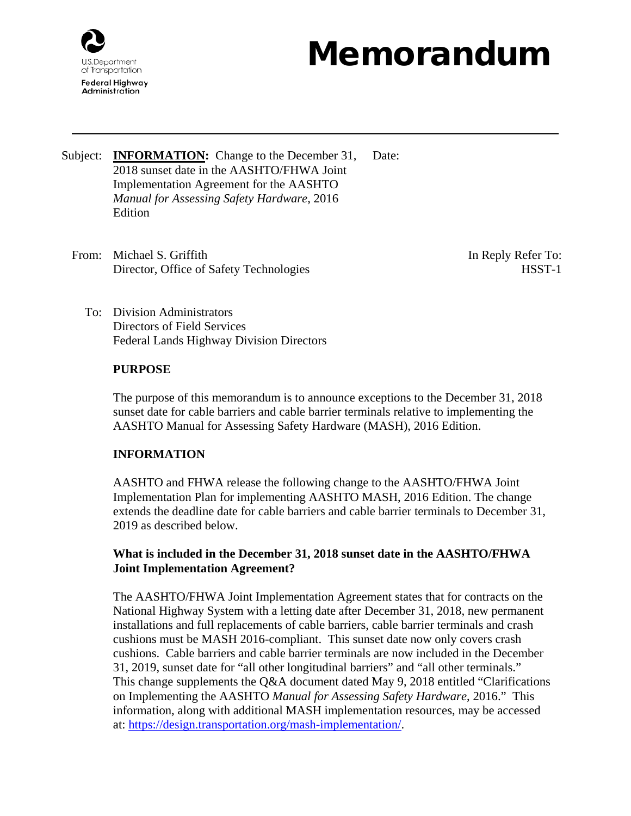

# Memorandum

- Subject: **INFORMATION:** Change to the December 31, 2018 sunset date in the AASHTO/FHWA Joint Implementation Agreement for the AASHTO *Manual for Assessing Safety Hardware*, 2016 **Edition** Date:
	- From: Michael S. Griffith Director, Office of Safety Technologies

In Reply Refer To: HSST-1

To: Division Administrators Directors of Field Services Federal Lands Highway Division Directors

## **PURPOSE**

The purpose of this memorandum is to announce exceptions to the December 31, 2018 sunset date for cable barriers and cable barrier terminals relative to implementing the AASHTO Manual for Assessing Safety Hardware (MASH), 2016 Edition.

# **INFORMATION**

AASHTO and FHWA release the following change to the AASHTO/FHWA Joint Implementation Plan for implementing AASHTO MASH, 2016 Edition. The change extends the deadline date for cable barriers and cable barrier terminals to December 31, 2019 as described below.

## **What is included in the December 31, 2018 sunset date in the AASHTO/FHWA Joint Implementation Agreement?**

The AASHTO/FHWA Joint Implementation Agreement states that for contracts on the National Highway System with a letting date after December 31, 2018, new permanent installations and full replacements of cable barriers, cable barrier terminals and crash cushions must be MASH 2016-compliant. This sunset date now only covers crash cushions. Cable barriers and cable barrier terminals are now included in the December 31, 2019, sunset date for "all other longitudinal barriers" and "all other terminals." This change supplements the Q&A document dated May 9, 2018 entitled "Clarifications on Implementing the AASHTO *Manual for Assessing Safety Hardware*, 2016." This information, along with additional MASH implementation resources, may be accessed at: [https://design.transportation.org/mash-implementation/.](https://design.transportation.org/mash-implementation/)